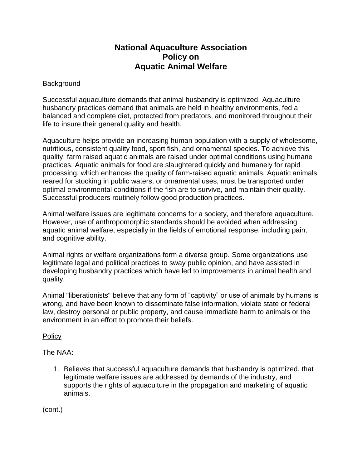## **National Aquaculture Association Policy on Aquatic Animal Welfare**

## Background

Successful aquaculture demands that animal husbandry is optimized. Aquaculture husbandry practices demand that animals are held in healthy environments, fed a balanced and complete diet, protected from predators, and monitored throughout their life to insure their general quality and health.

Aquaculture helps provide an increasing human population with a supply of wholesome, nutritious, consistent quality food, sport fish, and ornamental species. To achieve this quality, farm raised aquatic animals are raised under optimal conditions using humane practices. Aquatic animals for food are slaughtered quickly and humanely for rapid processing, which enhances the quality of farm-raised aquatic animals. Aquatic animals reared for stocking in public waters, or ornamental uses, must be transported under optimal environmental conditions if the fish are to survive, and maintain their quality. Successful producers routinely follow good production practices.

Animal welfare issues are legitimate concerns for a society, and therefore aquaculture. However, use of anthropomorphic standards should be avoided when addressing aquatic animal welfare, especially in the fields of emotional response, including pain, and cognitive ability.

Animal rights or welfare organizations form a diverse group. Some organizations use legitimate legal and political practices to sway public opinion, and have assisted in developing husbandry practices which have led to improvements in animal health and quality.

Animal "liberationists" believe that any form of "captivity" or use of animals by humans is wrong, and have been known to disseminate false information, violate state or federal law, destroy personal or public property, and cause immediate harm to animals or the environment in an effort to promote their beliefs.

## **Policy**

The NAA:

1. Believes that successful aquaculture demands that husbandry is optimized, that legitimate welfare issues are addressed by demands of the industry, and supports the rights of aquaculture in the propagation and marketing of aquatic animals.

(cont.)